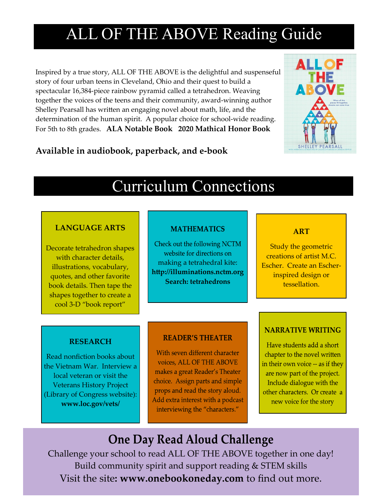# ALL OF THE ABOVE Reading Guide

Inspired by a true story, ALL OF THE ABOVE is the delightful and suspenseful story of four urban teens in Cleveland, Ohio and their quest to build a spectacular 16,384-piece rainbow pyramid called a tetrahedron. Weaving together the voices of the teens and their community, award-winning author Shelley Pearsall has written an engaging novel about math, life, and the determination of the human spirit. A popular choice for school-wide reading. For 5th to 8th grades. **ALA Notable Book 2020 Mathical Honor Book**



### **Available in audiobook, paperback, and e-book**

### Curriculum Connections

#### **LANGUAGE ARTS**

Decorate tetrahedron shapes with character details, illustrations, vocabulary, quotes, and other favorite book details. Then tape the shapes together to create a cool 3-D "book report"

#### **MATHEMATICS**

Check out the following NCTM website for directions on making a tetrahedral kite: **http://illuminations.nctm.org Search: tetrahedrons**

#### **ART**

Study the geometric creations of artist M.C. Escher. Create an Escherinspired design or tessellation.

#### **RESEARCH**

Read nonfiction books about the Vietnam War. Interview a local veteran or visit the Veterans History Project (Library of Congress website): **www.loc.gov/vets/**

#### **READER'S THEATER**

With seven different character voices, ALL OF THE ABOVE makes a great Reader's Theater choice. Assign parts and simple props and read the story aloud. Add extra interest with a podcast interviewing the "characters."

#### **NARRATIVE WRITING**

Have students add a short chapter to the novel written in their own voice -- as if they are now part of the project. Include dialogue with the other characters. Or create a new voice for the story

### **One Day Read Aloud Challenge**

Challenge your school to read ALL OF THE ABOVE together in one day! Build community spirit and support reading & STEM skills Visit the site**: www.onebookoneday.com** to find out more.